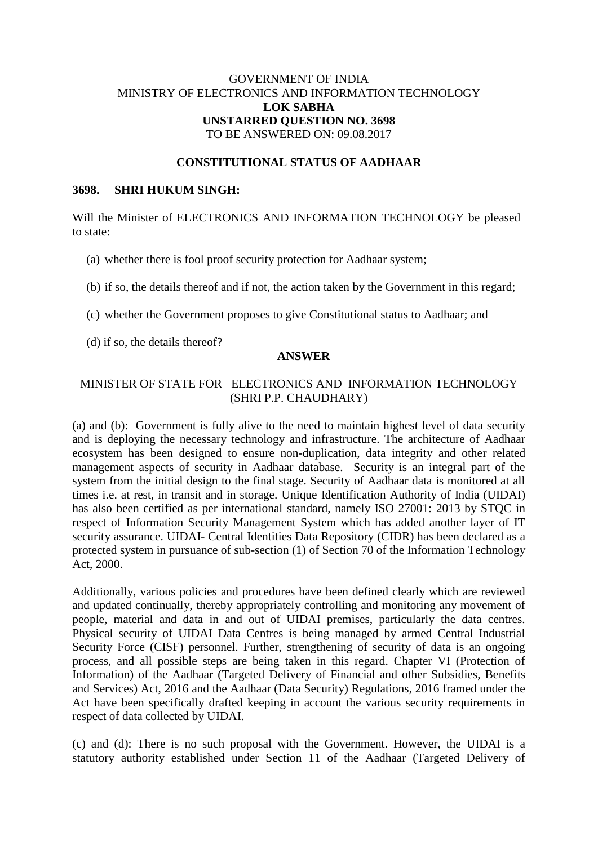# GOVERNMENT OF INDIA MINISTRY OF ELECTRONICS AND INFORMATION TECHNOLOGY **LOK SABHA UNSTARRED QUESTION NO. 3698** TO BE ANSWERED ON: 09.08.2017

## **CONSTITUTIONAL STATUS OF AADHAAR**

#### **3698. SHRI HUKUM SINGH:**

Will the Minister of ELECTRONICS AND INFORMATION TECHNOLOGY be pleased to state:

- (a) whether there is fool proof security protection for Aadhaar system;
- (b) if so, the details thereof and if not, the action taken by the Government in this regard;
- (c) whether the Government proposes to give Constitutional status to Aadhaar; and
- (d) if so, the details thereof?

## **ANSWER**

# MINISTER OF STATE FOR ELECTRONICS AND INFORMATION TECHNOLOGY (SHRI P.P. CHAUDHARY)

(a) and (b): Government is fully alive to the need to maintain highest level of data security and is deploying the necessary technology and infrastructure. The architecture of Aadhaar ecosystem has been designed to ensure non-duplication, data integrity and other related management aspects of security in Aadhaar database. Security is an integral part of the system from the initial design to the final stage. Security of Aadhaar data is monitored at all times i.e. at rest, in transit and in storage. Unique Identification Authority of India (UIDAI) has also been certified as per international standard, namely ISO 27001: 2013 by STQC in respect of Information Security Management System which has added another layer of IT security assurance. UIDAI- Central Identities Data Repository (CIDR) has been declared as a protected system in pursuance of sub-section (1) of Section 70 of the Information Technology Act, 2000.

Additionally, various policies and procedures have been defined clearly which are reviewed and updated continually, thereby appropriately controlling and monitoring any movement of people, material and data in and out of UIDAI premises, particularly the data centres. Physical security of UIDAI Data Centres is being managed by armed Central Industrial Security Force (CISF) personnel. Further, strengthening of security of data is an ongoing process, and all possible steps are being taken in this regard. Chapter VI (Protection of Information) of the Aadhaar (Targeted Delivery of Financial and other Subsidies, Benefits and Services) Act, 2016 and the Aadhaar (Data Security) Regulations, 2016 framed under the Act have been specifically drafted keeping in account the various security requirements in respect of data collected by UIDAI.

(c) and (d): There is no such proposal with the Government. However, the UIDAI is a statutory authority established under Section 11 of the Aadhaar (Targeted Delivery of